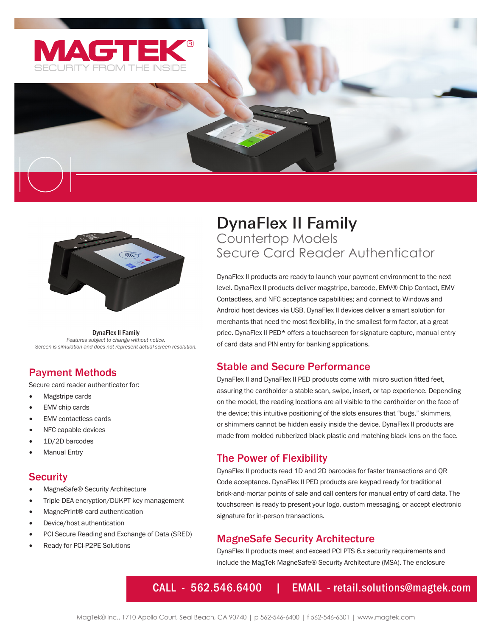





DynaFlex II Family *Features subject to change without notice. Screen is simulation and does not represent actual screen resolution.*

## Payment Methods

Secure card reader authenticator for:

- Magstripe cards
- **EMV** chip cards
- **EMV** contactless cards
- NFC capable devices
- 1D/2D barcodes
- **Manual Entry**

#### **Security**

- MagneSafe® Security Architecture
- Triple DEA encryption/DUKPT key management
- MagnePrint® card authentication
- Device/host authentication
- PCI Secure Reading and Exchange of Data (SRED)
- Ready for PCI-P2PE Solutions

# DynaFlex II Family Countertop Models Secure Card Reader Authenticator

DynaFlex II products are ready to launch your payment environment to the next level. DynaFlex II products deliver magstripe, barcode, EMV® Chip Contact, EMV Contactless, and NFC acceptance capabilities; and connect to Windows and Android host devices via USB. DynaFlex II devices deliver a smart solution for merchants that need the most flexibility, in the smallest form factor, at a great price. DynaFlex II PED\* offers a touchscreen for signature capture, manual entry of card data and PIN entry for banking applications.

## Stable and Secure Performance

DynaFlex II and DynaFlex II PED products come with micro suction fitted feet, assuring the cardholder a stable scan, swipe, insert, or tap experience. Depending on the model, the reading locations are all visible to the cardholder on the face of the device; this intuitive positioning of the slots ensures that "bugs," skimmers, or shimmers cannot be hidden easily inside the device. DynaFlex II products are made from molded rubberized black plastic and matching black lens on the face.

## The Power of Flexibility

DynaFlex II products read 1D and 2D barcodes for faster transactions and QR Code acceptance. DynaFlex II PED products are keypad ready for traditional brick-and-mortar points of sale and call centers for manual entry of card data. The touchscreen is ready to present your logo, custom messaging, or accept electronic signature for in-person transactions.

## MagneSafe Security Architecture

DynaFlex II products meet and exceed PCI PTS 6.x security requirements and include the MagTek MagneSafe® Security Architecture (MSA). The enclosure

## CALL - 562.546.6400 | EMAIL - retail.solutions@magtek.com